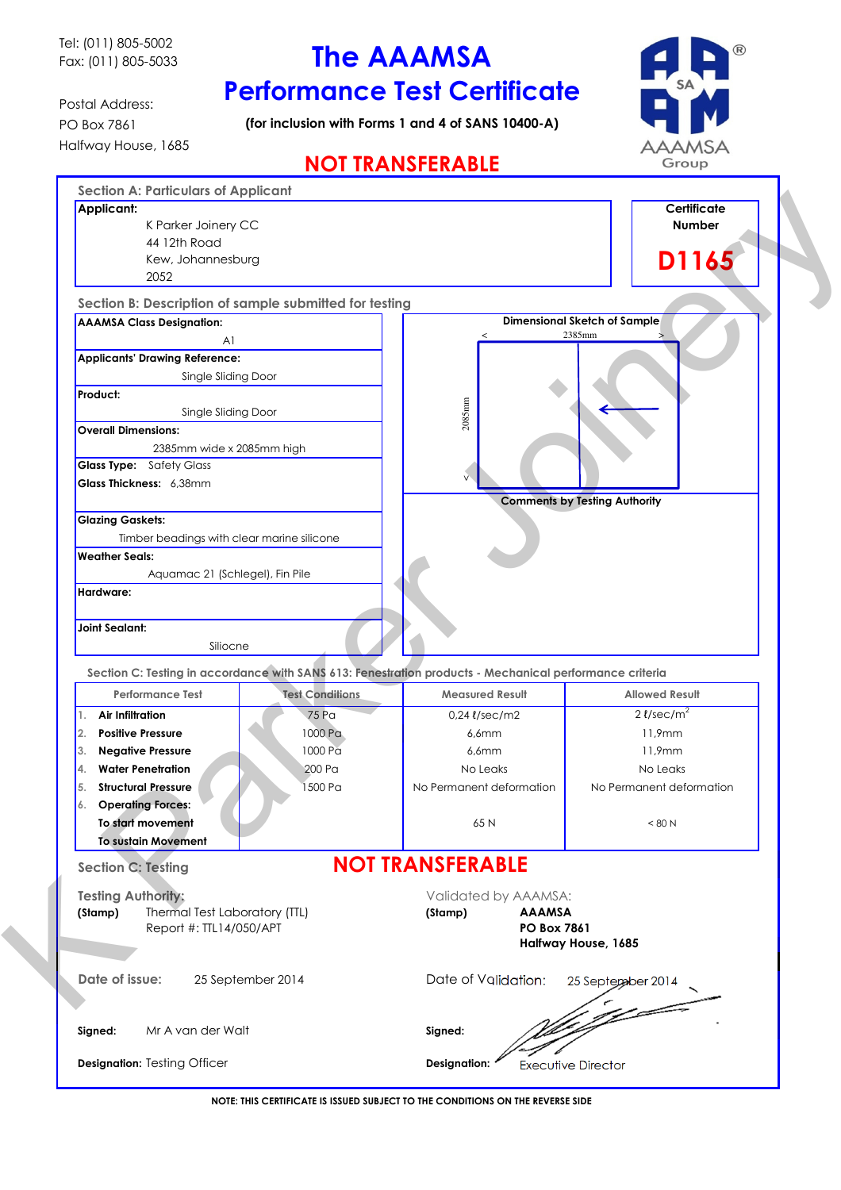Tel: (011) 805-5002 Fax: (011) 805-5033

# The AAAMSA Performance Test Certificate

Postal Address: PO Box 7861 Halfway House, 1685

(for inclusion with Forms 1 and 4 of SANS 10400-A)



# NOT TRANSFERABLE

| <b>Section A: Particulars of Applicant</b>                                                                                |                        |                                                                                                         |                                      |
|---------------------------------------------------------------------------------------------------------------------------|------------------------|---------------------------------------------------------------------------------------------------------|--------------------------------------|
| Applicant:                                                                                                                |                        |                                                                                                         | <b>Certificate</b>                   |
| K Parker Joinery CC                                                                                                       |                        |                                                                                                         | Number                               |
| 44 12th Road                                                                                                              |                        |                                                                                                         |                                      |
| Kew, Johannesburg                                                                                                         |                        |                                                                                                         | D1165                                |
| 2052                                                                                                                      |                        |                                                                                                         |                                      |
| Section B: Description of sample submitted for testing                                                                    |                        |                                                                                                         |                                      |
| <b>AAAMSA Class Designation:</b>                                                                                          |                        |                                                                                                         | <b>Dimensional Sketch of Sample</b>  |
| A <sub>1</sub>                                                                                                            |                        |                                                                                                         | 2385mm                               |
| Applicants' Drawing Reference:                                                                                            |                        |                                                                                                         |                                      |
| Single Sliding Door                                                                                                       |                        |                                                                                                         |                                      |
| Product:                                                                                                                  |                        |                                                                                                         |                                      |
| Single Sliding Door                                                                                                       |                        | $2085$ nnn                                                                                              |                                      |
| <b>Overall Dimensions:</b>                                                                                                |                        |                                                                                                         |                                      |
| 2385mm wide x 2085mm high                                                                                                 |                        |                                                                                                         |                                      |
| <b>Glass Type:</b> Safety Glass                                                                                           |                        |                                                                                                         |                                      |
| Glass Thickness: 6,38mm                                                                                                   |                        |                                                                                                         |                                      |
|                                                                                                                           |                        |                                                                                                         | <b>Comments by Testing Authority</b> |
| <b>Glazing Gaskets:</b>                                                                                                   |                        |                                                                                                         |                                      |
| Timber beadings with clear marine silicone<br><b>Weather Seals:</b>                                                       |                        |                                                                                                         |                                      |
|                                                                                                                           |                        |                                                                                                         |                                      |
| Aquamac 21 (Schlegel), Fin Pile<br>Hardware:                                                                              |                        |                                                                                                         |                                      |
|                                                                                                                           |                        |                                                                                                         |                                      |
|                                                                                                                           |                        |                                                                                                         |                                      |
|                                                                                                                           |                        |                                                                                                         |                                      |
|                                                                                                                           |                        |                                                                                                         |                                      |
| Siliocne                                                                                                                  |                        |                                                                                                         |                                      |
|                                                                                                                           |                        | Section C: Testing in accordance with SANS 613: Fenestration products - Mechanical performance criteria |                                      |
| <b>Performance Test</b>                                                                                                   | <b>Test Conditions</b> | <b>Measured Result</b>                                                                                  | <b>Allowed Result</b>                |
| Air Infiltration                                                                                                          | 75 Pa                  | $0.24$ $\ell$ /sec/m2                                                                                   | $2$ <i>l</i> /sec/m <sup>2</sup>     |
| <b>Positive Pressure</b>                                                                                                  | 1000 Pa                | 6,6mm                                                                                                   | 11,9mm                               |
| <b>Negative Pressure</b>                                                                                                  | 1000 Pa                | $6,6$ mm                                                                                                | 11,9mm                               |
| <b>Water Penetration</b>                                                                                                  | 200 Pa                 | No Leaks                                                                                                | No Leaks                             |
| <b>Structural Pressure</b>                                                                                                | 1500 Pa                | No Permanent deformation                                                                                | No Permanent deformation             |
| <b>Operating Forces:</b>                                                                                                  |                        |                                                                                                         |                                      |
| To start movement                                                                                                         |                        | 65N                                                                                                     | < 80 N                               |
| <b>To sustain Movement</b>                                                                                                |                        |                                                                                                         |                                      |
|                                                                                                                           |                        | <b>NOT TRANSFERABLE</b>                                                                                 |                                      |
|                                                                                                                           |                        | Validated by AAAMSA:                                                                                    |                                      |
| Thermal Test Laboratory (TTL)                                                                                             |                        | <b>AAAMSA</b><br>(Stamp)                                                                                |                                      |
| Report #: TTL14/050/APT                                                                                                   |                        | <b>PO Box 7861</b>                                                                                      |                                      |
|                                                                                                                           |                        |                                                                                                         | Halfway House, 1685                  |
| <b>Joint Sealant:</b>                                                                                                     |                        |                                                                                                         |                                      |
|                                                                                                                           | 25 September 2014      | Date of Validation:                                                                                     | 25 September 2014                    |
|                                                                                                                           |                        |                                                                                                         |                                      |
| $\overline{2}$ .<br>3.<br>Α.<br>5.<br><b>Section C: Testing</b><br><b>Testing Authority:</b><br>(Stamp)<br>Date of issue: |                        |                                                                                                         |                                      |
| Mr A van der Walt<br>Signed:                                                                                              |                        | Signed:                                                                                                 |                                      |

NOTE: THIS CERTIFICATE IS ISSUED SUBJECT TO THE CONDITIONS ON THE REVERSE SIDE